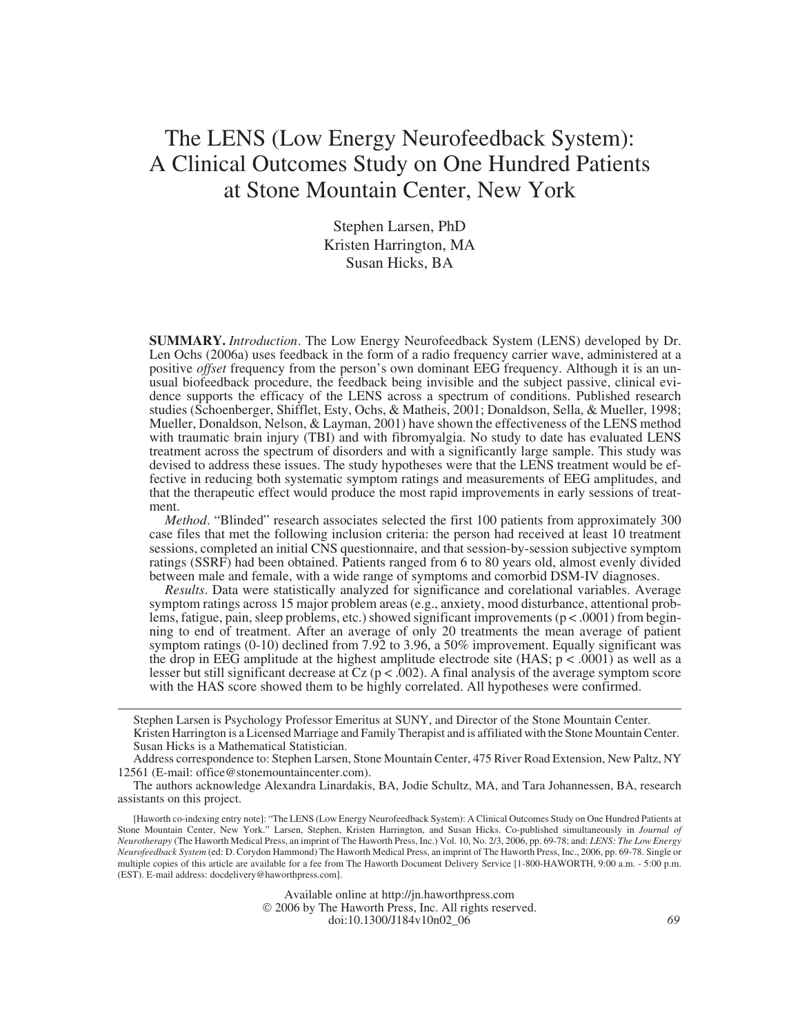# The LENS (Low Energy Neurofeedback System): A Clinical Outcomes Study on One Hundred Patients at Stone Mountain Center, New York

Stephen Larsen, PhD Kristen Harrington, MA Susan Hicks, BA

**SUMMARY.** *Introduction*. The Low Energy Neurofeedback System (LENS) developed by Dr. Len Ochs (2006a) uses feedback in the form of a radio frequency carrier wave, administered at a positive *offset* frequency from the person's own dominant EEG frequency. Although it is an unusual biofeedback procedure, the feedback being invisible and the subject passive, clinical evidence supports the efficacy of the LENS across a spectrum of conditions. Published research studies (Schoenberger, Shifflet, Esty, Ochs, & Matheis, 2001; Donaldson, Sella, & Mueller, 1998; Mueller, Donaldson, Nelson, & Layman, 2001) have shown the effectiveness of the LENS method with traumatic brain injury (TBI) and with fibromyalgia. No study to date has evaluated LENS treatment across the spectrum of disorders and with a significantly large sample. This study was devised to address these issues. The study hypotheses were that the LENS treatment would be effective in reducing both systematic symptom ratings and measurements of EEG amplitudes, and that the therapeutic effect would produce the most rapid improvements in early sessions of treatment.

*Method*. "Blinded" research associates selected the first 100 patients from approximately 300 case files that met the following inclusion criteria: the person had received at least 10 treatment sessions, completed an initial CNS questionnaire, and that session-by-session subjective symptom ratings (SSRF) had been obtained. Patients ranged from 6 to 80 years old, almost evenly divided between male and female, with a wide range of symptoms and comorbid DSM-IV diagnoses.

*Results*. Data were statistically analyzed for significance and corelational variables. Average symptom ratings across 15 major problem areas (e.g., anxiety, mood disturbance, attentional problems, fatigue, pain, sleep problems, etc.) showed significant improvements  $(p < .0001)$  from beginning to end of treatment. After an average of only 20 treatments the mean average of patient symptom ratings (0-10) declined from 7.92 to 3.96, a 50% improvement. Equally significant was the drop in EEG amplitude at the highest amplitude electrode site  $(HAS; p < .0001)$  as well as a lesser but still significant decrease at Cz (p < .002). A final analysis of the average symptom score with the HAS score showed them to be highly correlated. All hypotheses were confirmed.

Stephen Larsen is Psychology Professor Emeritus at SUNY, and Director of the Stone Mountain Center. Kristen Harrington is a Licensed Marriage and Family Therapist and is affiliated with the Stone Mountain Center. Susan Hicks is a Mathematical Statistician.

Address correspondence to: Stephen Larsen, Stone Mountain Center, 475 River Road Extension, New Paltz, NY 12561 (E-mail: [office@stonemountaincenter.com](mailto:office@stonemountaincenter.com)).

The authors acknowledge Alexandra Linardakis, BA, Jodie Schultz, MA, and Tara Johannessen, BA, research assistants on this project.

[Haworth co-indexing entry note]: "The LENS (Low Energy Neurofeedback System): A Clinical Outcomes Study on One Hundred Patients at Stone Mountain Center, New York." Larsen, Stephen, Kristen Harrington, and Susan Hicks. Co-published simultaneously in *Journal of Neurotherapy* (The Haworth Medical Press, an imprint of The Haworth Press, Inc.) Vol. 10, No. 2/3, 2006, pp. 69-78; and: *LENS: The Low Energy Neurofeedback System* (ed: D. Corydon Hammond) The Haworth Medical Press, an imprint of The Haworth Press, Inc., 2006, pp. 69-78. Single or multiple copies of this article are available for a fee from The Haworth Document Delivery Service [1-800-HAWORTH, 9:00 a.m. - 5:00 p.m. (EST). E-mail address: [docdelivery@haworthpress.com\].](mailto:docdelivery@haworthpress.com)

> Available online at<http://jn.haworthpress.com> © 2006 by The Haworth Press, Inc. All rights reserved. doi:10.1300/J184v10n02\_06 *69*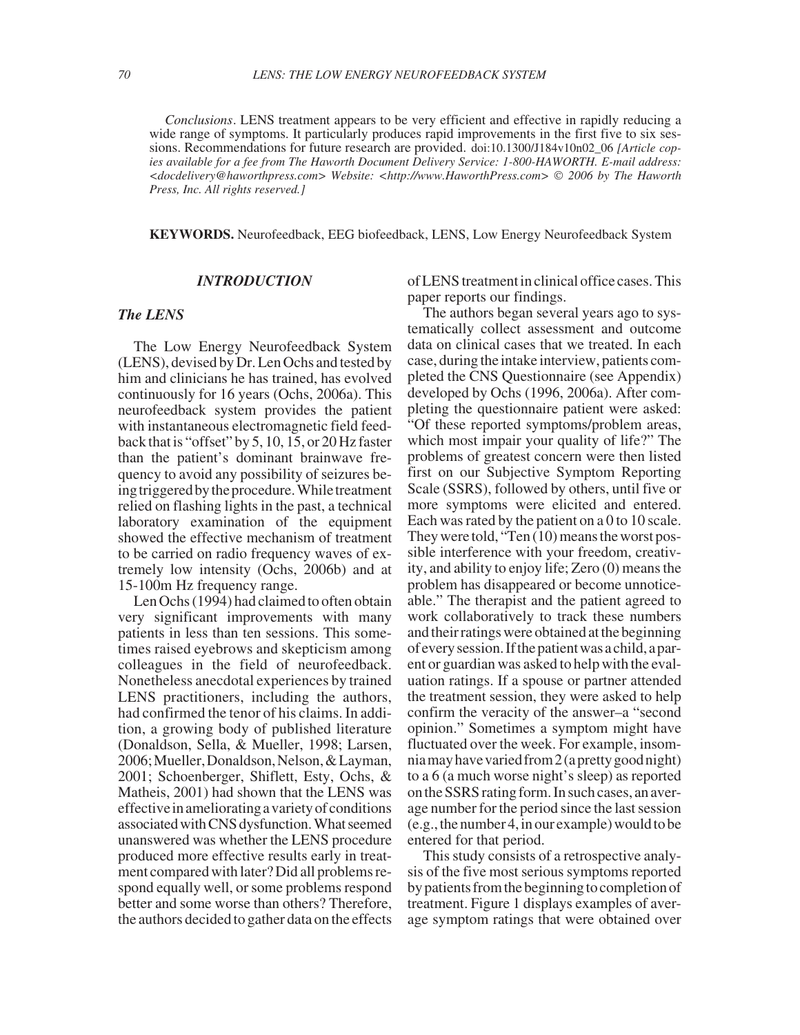*Conclusions*. LENS treatment appears to be very efficient and effective in rapidly reducing a wide range of symptoms. It particularly produces rapid improvements in the first five to six sessions. Recommendations for future research are provided. doi:10.1300/J184v10n02\_06 *[Article copies available for a fee from The Haworth Document Delivery Service: 1-800-HAWORTH. E-mail address: <[docdelivery@haworthpress.com>](mailto:docdelivery@haworthpress.com) Website: <[http://www.HaworthPress.com>](http://www.HaworthPress.com)* © *2006 by The Haworth Press, Inc. All rights reserved.]*

**KEYWORDS.** Neurofeedback, EEG biofeedback, LENS, Low Energy Neurofeedback System

#### *INTRODUCTION*

#### *The LENS*

The Low Energy Neurofeedback System (LENS), devised by Dr. Len Ochs and tested by him and clinicians he has trained, has evolved continuously for 16 years (Ochs, 2006a). This neurofeedback system provides the patient with instantaneous electromagnetic field feedback that is "offset" by 5, 10, 15, or 20 Hz faster than the patient's dominant brainwave frequency to avoid any possibility of seizures beingtriggeredbytheprocedure.Whiletreatment relied on flashing lights in the past, a technical laboratory examination of the equipment showed the effective mechanism of treatment to be carried on radio frequency waves of extremely low intensity (Ochs, 2006b) and at 15-100m Hz frequency range.

Len Ochs (1994) had claimed to often obtain very significant improvements with many patients in less than ten sessions. This sometimes raised eyebrows and skepticism among colleagues in the field of neurofeedback. Nonetheless anecdotal experiences by trained LENS practitioners, including the authors, had confirmed the tenor of his claims. In addition, a growing body of published literature (Donaldson, Sella, & Mueller, 1998; Larsen, 2006; Mueller, Donaldson, Nelson, & Layman, 2001; Schoenberger, Shiflett, Esty, Ochs, & Matheis, 2001) had shown that the LENS was effectiveinamelioratingavarietyofconditions associated with CNS dysfunction. What seemed unanswered was whether the LENS procedure produced more effective results early in treatment compared with later? Did all problems respond equally well, or some problems respond better and some worse than others? Therefore, the authors decided to gather data on the effects

of LENS treatment in clinical office cases. This paper reports our findings.

The authors began several years ago to systematically collect assessment and outcome data on clinical cases that we treated. In each case, during the intake interview, patients completed the CNS Questionnaire (see Appendix) developed by Ochs (1996, 2006a). After completing the questionnaire patient were asked: "Of these reported symptoms/problem areas, which most impair your quality of life?" The problems of greatest concern were then listed first on our Subjective Symptom Reporting Scale (SSRS), followed by others, until five or more symptoms were elicited and entered. Each was rated by the patient on a 0 to 10 scale. They were told, "Ten (10) means the worst possible interference with your freedom, creativity, and ability to enjoy life; Zero (0) means the problem has disappeared or become unnoticeable." The therapist and the patient agreed to work collaboratively to track these numbers and their ratings were obtained at the beginning ofeverysession.Ifthepatientwasachild,aparent or guardian was asked to help with the evaluation ratings. If a spouse or partner attended the treatment session, they were asked to help confirm the veracity of the answer–a "second opinion." Sometimes a symptom might have fluctuated over the week. For example, insomniamayhavevariedfrom2(aprettygoodnight) to a 6 (a much worse night's sleep) as reported on the SSRS ratingform. In such cases, an average number for the period since the last session  $(e.g., the number 4, in our example) would to be$ entered for that period.

This study consists of a retrospective analysis of the five most serious symptoms reported by patients from the beginning to completion of treatment. Figure 1 displays examples of average symptom ratings that were obtained over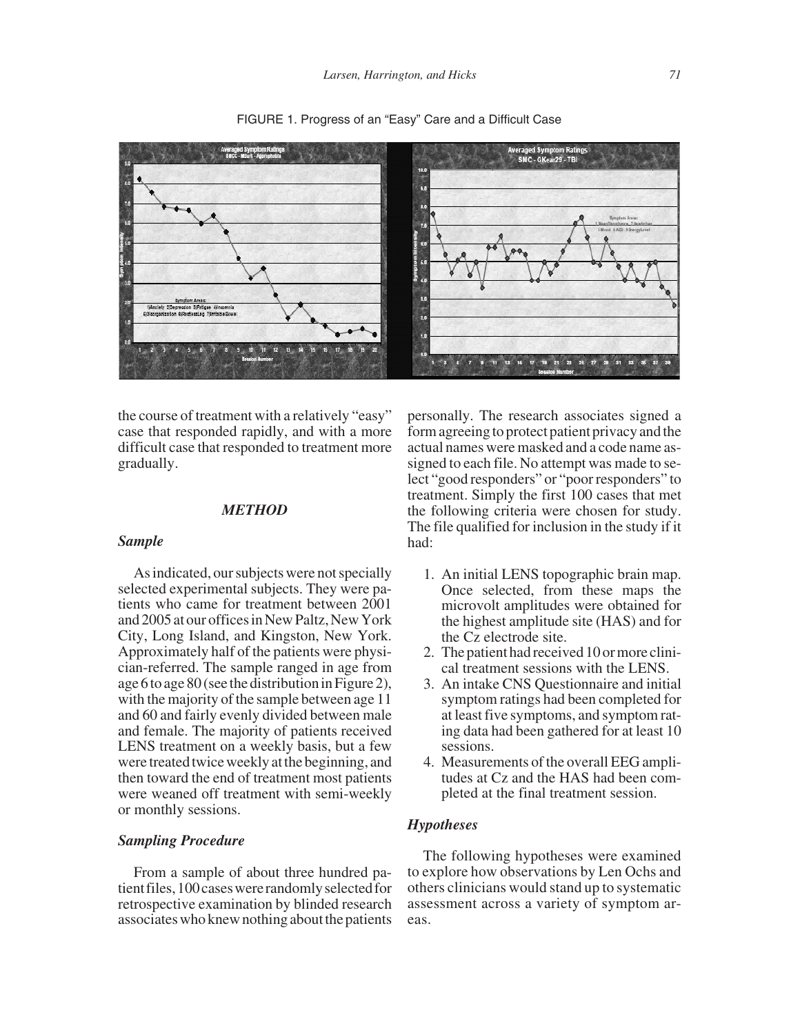

FIGURE 1. Progress of an "Easy" Care and a Difficult Case

the course of treatment with a relatively "easy" case that responded rapidly, and with a more difficult case that responded to treatment more gradually.

# *METHOD*

#### *Sample*

As indicated, our subjects were not specially selected experimental subjects. They were patients who came for treatment between 2001 and 2005 at our offices in New Paltz, New York City, Long Island, and Kingston, New York. Approximately half of the patients were physician-referred. The sample ranged in age from age 6 to age 80 (see the distributionin Figure 2), with the majority of the sample between age 11 and 60 and fairly evenly divided between male and female. The majority of patients received LENS treatment on a weekly basis, but a few were treated twice weekly at the beginning, and then toward the end of treatment most patients were weaned off treatment with semi-weekly or monthly sessions.

# *Sampling Procedure*

From a sample of about three hundred patientfiles,100caseswererandomlyselectedfor retrospective examination by blinded research associates who knew nothing about the patients

personally. The research associates signed a form agreeing to protect patient privacy and the actual names were masked and a code name assigned to each file. No attempt was made to select "good responders" or "poor responders" to treatment. Simply the first 100 cases that met the following criteria were chosen for study. The file qualified for inclusion in the study if it had:

- 1. An initial LENS topographic brain map. Once selected, from these maps the microvolt amplitudes were obtained for the highest amplitude site (HAS) and for the Cz electrode site.
- 2. The patient had received 10 or more clinical treatment sessions with the LENS.
- 3. An intake CNS Questionnaire and initial symptom ratings had been completed for at least five symptoms, and symptom rating data had been gathered for at least 10 sessions.
- 4. Measurements of the overall EEG amplitudes at Cz and the HAS had been completed at the final treatment session.

# *Hypotheses*

The following hypotheses were examined to explore how observations by Len Ochs and others clinicians would stand up to systematic assessment across a variety of symptom areas.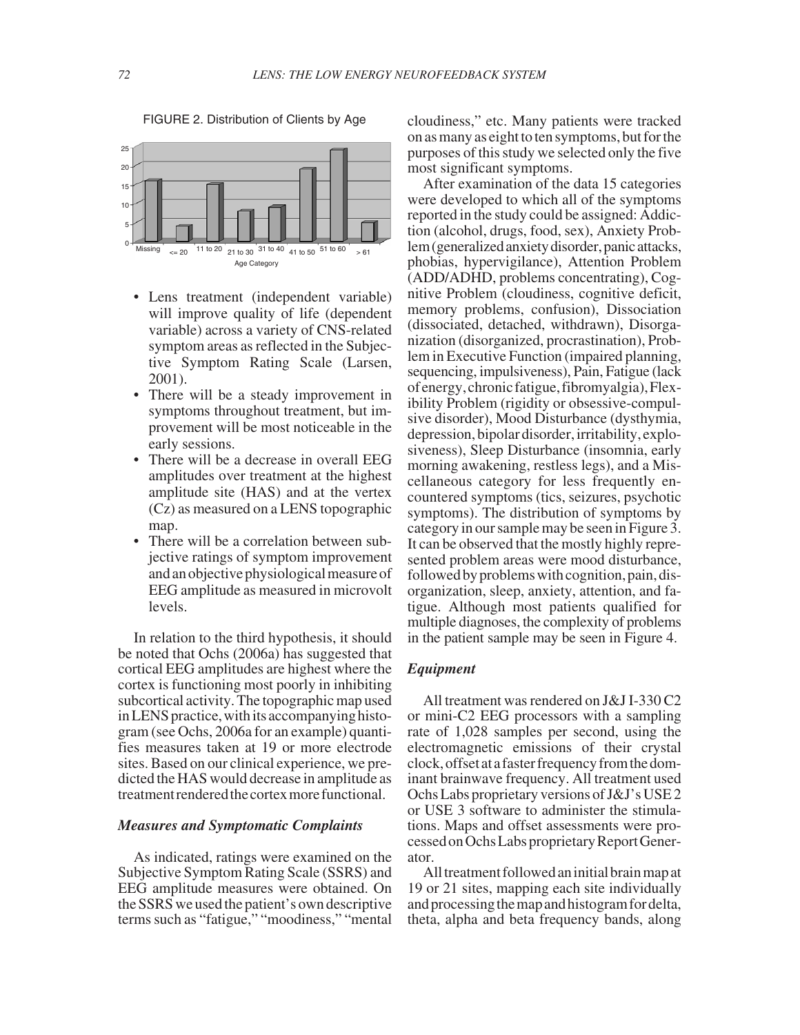

- Lens treatment (independent variable) will improve quality of life (dependent variable) across a variety of CNS-related symptom areas as reflected in the Subjective Symptom Rating Scale (Larsen, 2001).
- There will be a steady improvement in symptoms throughout treatment, but improvement will be most noticeable in the early sessions.
- There will be a decrease in overall EEG amplitudes over treatment at the highest amplitude site (HAS) and at the vertex (Cz) as measured on a LENS topographic map.
- There will be a correlation between subjective ratings of symptom improvement andanobjectivephysiologicalmeasureof EEG amplitude as measured in microvolt levels.

In relation to the third hypothesis, it should be noted that Ochs (2006a) has suggested that cortical EEG amplitudes are highest where the cortex is functioning most poorly in inhibiting subcortical activity. The topographic map used in LENS practice, with its accompanying histogram (see Ochs, 2006a for an example) quantifies measures taken at 19 or more electrode sites. Based on our clinical experience, we predicted the HAS would decrease in amplitude as treatment rendered the cortex more functional.

# *Measures and Symptomatic Complaints*

As indicated, ratings were examined on the Subjective Symptom Rating Scale (SSRS) and EEG amplitude measures were obtained. On the SSRS we used the patient's own descriptive terms such as "fatigue," "moodiness," "mental

cloudiness," etc. Many patients were tracked on as many as eight to ten symptoms, but for the purposes of this study we selected only the five most significant symptoms.

After examination of the data 15 categories were developed to which all of the symptoms reported in the study could be assigned: Addiction (alcohol, drugs, food, sex), Anxiety Problem (generalized anxiety disorder, panic attacks, phobias, hypervigilance), Attention Problem (ADD/ADHD, problems concentrating), Cognitive Problem (cloudiness, cognitive deficit, memory problems, confusion), Dissociation (dissociated, detached, withdrawn), Disorganization (disorganized, procrastination), Problem in Executive Function (impaired planning, sequencing, impulsiveness), Pain, Fatigue (lack ofenergy,chronicfatigue,fibromyalgia),Flexibility Problem (rigidity or obsessive-compulsive disorder), Mood Disturbance (dysthymia, depression, bipolar disorder, irritability,explosiveness), Sleep Disturbance (insomnia, early morning awakening, restless legs), and a Miscellaneous category for less frequently encountered symptoms (tics, seizures, psychotic symptoms). The distribution of symptoms by category in our sample may be seen in Figure 3. It can be observed that the mostly highly represented problem areas were mood disturbance, followed by problems with cognition, pain, disorganization, sleep, anxiety, attention, and fatigue. Although most patients qualified for multiple diagnoses, the complexity of problems in the patient sample may be seen in Figure 4.

## *Equipment*

All treatment was rendered on J&J I-330 C2 or mini-C2 EEG processors with a sampling rate of 1,028 samples per second, using the electromagnetic emissions of their crystal clock,offsetatafasterfrequencyfromthedominant brainwave frequency. All treatment used Ochs Labs proprietary versions of J&J's USE 2 or USE 3 software to administer the stimulations. Maps and offset assessments were processedonOchsLabsproprietaryReportGenerator.

Alltreatmentfollowedaninitialbrainmapat 19 or 21 sites, mapping each site individually and processing the map and histogram for delta, theta, alpha and beta frequency bands, along

FIGURE 2. Distribution of Clients by Age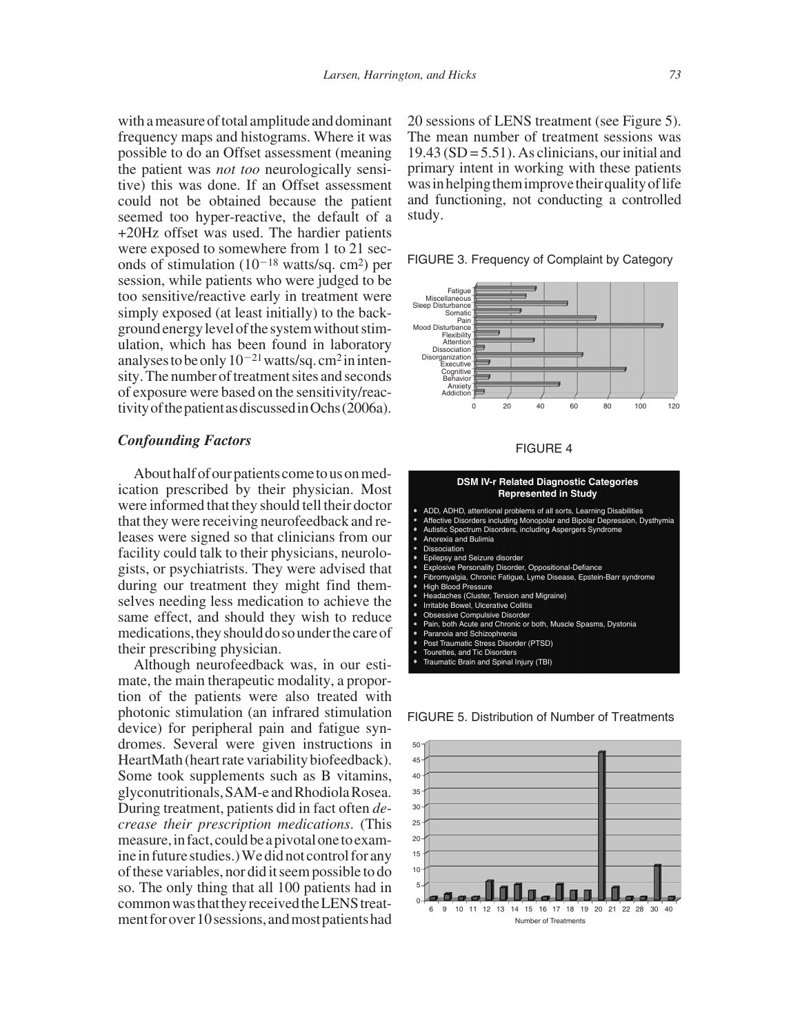with a measure of total amplitude and dominant frequency maps and histograms. Where it was possible to do an Offset assessment (meaning the patient was *not too* neurologically sensitive) this was done. If an Offset assessment could not be obtained because the patient seemed too hyper-reactive, the default of a +20Hz offset was used. The hardier patients were exposed to somewhere from 1 to 21 seconds of stimulation  $(10^{-18} \text{ watts/sq. cm}^2)$  per session, while patients who were judged to be too sensitive/reactive early in treatment were simply exposed (at least initially) to the backgroundenergylevelofthesystemwithoutstimulation, which has been found in laboratory analyses to be only  $10^{-21}$  watts/sq. cm<sup>2</sup> in intensity. The number of treatment sites and seconds of exposure were based on the sensitivity/reactivity of the patient as discussed in Ochs (2006a).

# *Confounding Factors*

About half of our patients come to us on medication prescribed by their physician. Most were informed that they should tell their doctor that they were receiving neurofeedback and releases were signed so that clinicians from our facility could talk to their physicians, neurologists, or psychiatrists. They were advised that during our treatment they might find themselves needing less medication to achieve the same effect, and should they wish to reduce medications, they should do so under the care of their prescribing physician.

Although neurofeedback was, in our estimate, the main therapeutic modality, a proportion of the patients were also treated with photonic stimulation (an infrared stimulation device) for peripheral pain and fatigue syndromes. Several were given instructions in HeartMath (heart rate variability biofeedback). Some took supplements such as B vitamins, glyconutritionals,SAM-e andRhodiolaRosea. During treatment, patients did in fact often *decrease their prescription medications*. (This measure, in fact, could be a pivotal one to examine in future studies.) We did not control for any of these variables, nor did it seem possible to do so. The only thing that all 100 patients had in common was that they received the LENS treatment for over 10 sessions, and most patients had

20 sessions of LENS treatment (see Figure 5). The mean number of treatment sessions was  $19.43$  (SD = 5.51). As clinicians, our initial and primary intent in working with these patients was in helping them improve their quality of life and functioning, not conducting a controlled study.





#### FIGURE 4

#### **DSM IV-r Related Diagnostic Categories Represented in Study**

- ADD, ADHD, attentional problems of all sorts, Learning Disabilities
- Affective Disorders including Monopolar and Bipolar Depression, Dysthyn Autistic Spectrum Disorders, including Aspergers Syndrome
- Anorexia and Bulimia
- Dissociation Epilepsy and Seizure disorder
- Explosive Personality Disorder, Oppositional-Defiance
- Fibromyalgia, Chronic Fatigue, Lyme Disease, Epstein-Barr syndrome High Blood Pressure
- 
- Headaches (Cluster, Tension and Migraine)
- Irritable Bowel, Ulcerative Collitis Obsessive Compulsive Disorder
- 
- Pain, both Acute and Chronic or both, Muscle Spasms, Dystonia
- Paranoia and Schizophrenia Post Traumatic Stress Disorder (PTSD)
- Tourettes, and Tic Disorders
- Traumatic Brain and Spinal Injury (TBI)

FIGURE 5. Distribution of Number of Treatments

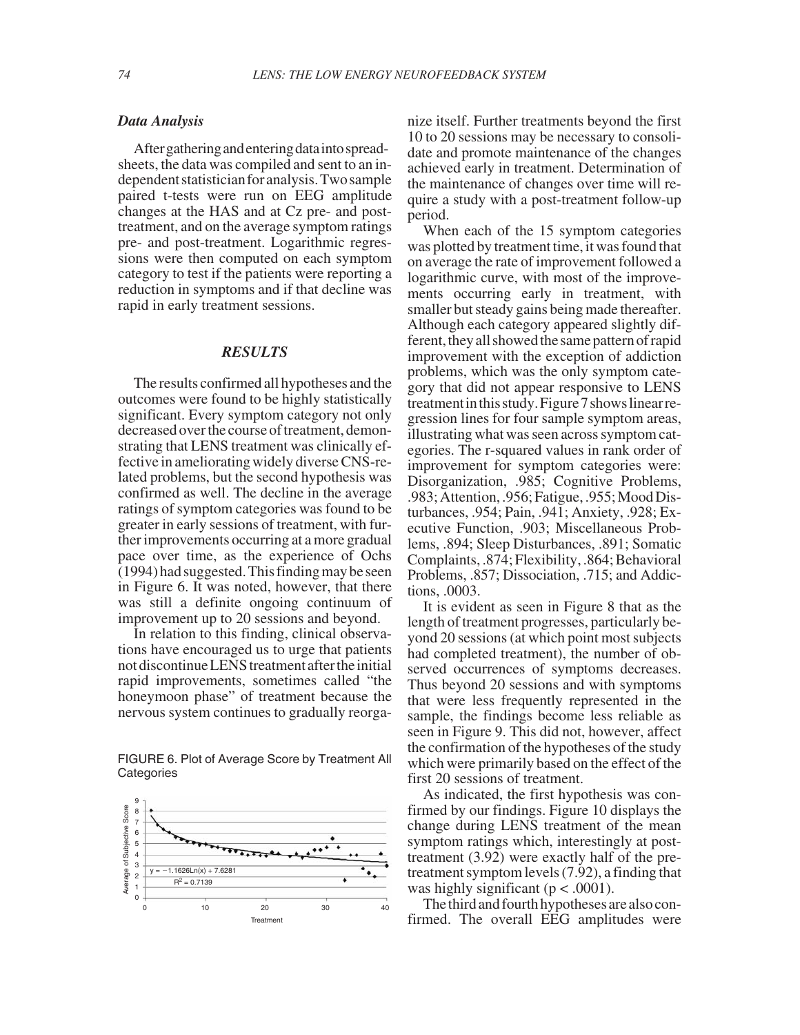# *Data Analysis*

After gathering and entering data into spreadsheets, the data was compiled and sent to an independentstatisticianforanalysis.Twosample paired t-tests were run on EEG amplitude changes at the HAS and at Cz pre- and posttreatment, and on the average symptom ratings pre- and post-treatment. Logarithmic regressions were then computed on each symptom category to test if the patients were reporting a reduction in symptoms and if that decline was rapid in early treatment sessions.

## *RESULTS*

The results confirmed all hypotheses and the outcomes were found to be highly statistically significant. Every symptom category not only decreased over the course of treatment, demonstrating that LENS treatment was clinically effective in ameliorating widely diverse CNS-related problems, but the second hypothesis was confirmed as well. The decline in the average ratings of symptom categories was found to be greater in early sessions of treatment, with further improvements occurring at a more gradual pace over time, as the experience of Ochs (1994)hadsuggested.Thisfindingmaybeseen in Figure 6. It was noted, however, that there was still a definite ongoing continuum of improvement up to 20 sessions and beyond.

In relation to this finding, clinical observations have encouraged us to urge that patients not discontinue LENS treatment after the initial rapid improvements, sometimes called "the honeymoon phase" of treatment because the nervous system continues to gradually reorga-

FIGURE 6. Plot of Average Score by Treatment All **Categories** 



nize itself. Further treatments beyond the first 10 to 20 sessions may be necessary to consolidate and promote maintenance of the changes achieved early in treatment. Determination of the maintenance of changes over time will require a study with a post-treatment follow-up period.

When each of the 15 symptom categories was plotted by treatment time, it was found that on average the rate of improvement followed a logarithmic curve, with most of the improvements occurring early in treatment, with smaller but steady gains being made thereafter. Although each category appeared slightly different, they all showed the same pattern of rapid improvement with the exception of addiction problems, which was the only symptom category that did not appear responsive to LENS treatmentinthisstudy.Figure7showslinearregression lines for four sample symptom areas, illustrating what was seen across symptom categories. The r-squared values in rank order of improvement for symptom categories were: Disorganization, .985; Cognitive Problems, .983; Attention, .956; Fatigue, .955; Mood Disturbances, .954; Pain, .941; Anxiety, .928; Executive Function, .903; Miscellaneous Problems, .894; Sleep Disturbances, .891; Somatic Complaints, .874; Flexibility, .864; Behavioral Problems, .857; Dissociation, .715; and Addictions, .0003.

It is evident as seen in Figure 8 that as the length of treatment progresses, particularly beyond 20 sessions (at which point most subjects had completed treatment), the number of observed occurrences of symptoms decreases. Thus beyond 20 sessions and with symptoms that were less frequently represented in the sample, the findings become less reliable as seen in Figure 9. This did not, however, affect the confirmation of the hypotheses of the study which were primarily based on the effect of the first 20 sessions of treatment.

As indicated, the first hypothesis was confirmed by our findings. Figure 10 displays the change during LENS treatment of the mean symptom ratings which, interestingly at posttreatment (3.92) were exactly half of the pretreatment symptom levels (7.92), a finding that was highly significant ( $p < .0001$ ).

The third and fourth hypotheses are also confirmed. The overall EEG amplitudes were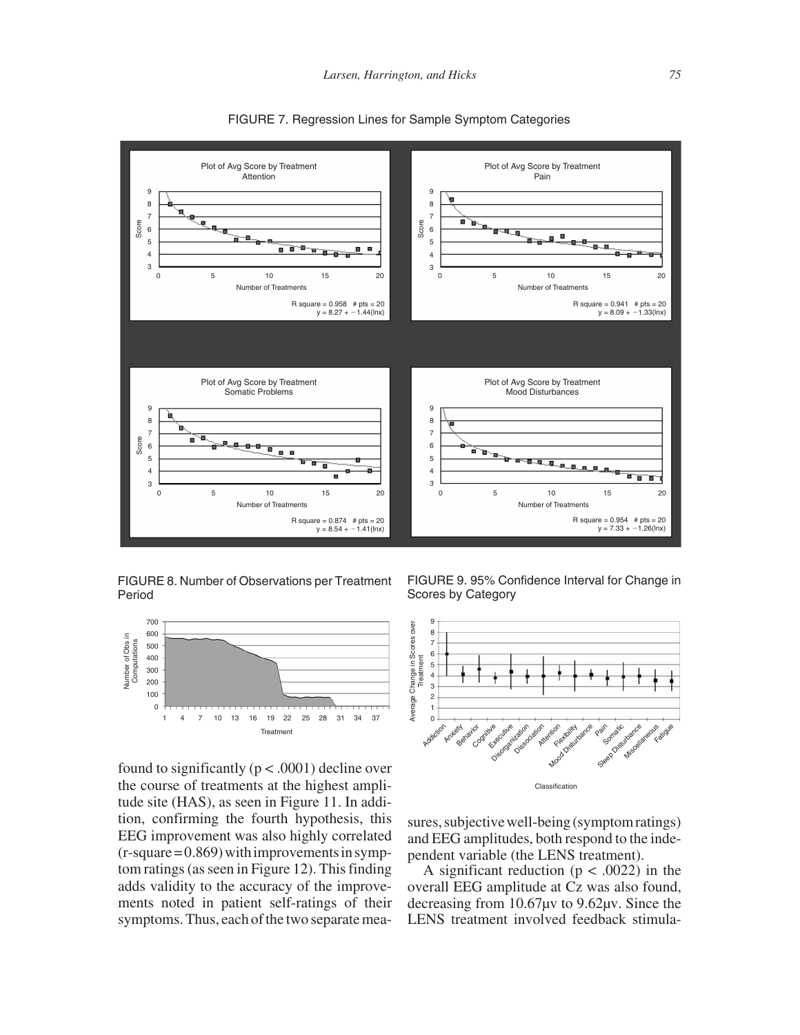

FIGURE 7. Regression Lines for Sample Symptom Categories

FIGURE 8. Number of Observations per Treatment Period



found to significantly ( $p < .0001$ ) decline over the course of treatments at the highest amplitude site (HAS), as seen in Figure 11. In addition, confirming the fourth hypothesis, this EEG improvement was also highly correlated  $(r$ -square =  $0.869$ ) with improvements in symptom ratings (as seen in Figure 12). This finding adds validity to the accuracy of the improvements noted in patient self-ratings of their symptoms. Thus, each of the two separate mea-

FIGURE 9. 95% Confidence Interval for Change in Scores by Category



sures, subjective well-being (symptom ratings) and EEG amplitudes, both respond to the independent variable (the LENS treatment).

A significant reduction  $(p < .0022)$  in the overall EEG amplitude at Cz was also found, decreasing from 10.67μv to 9.62μv. Since the LENS treatment involved feedback stimula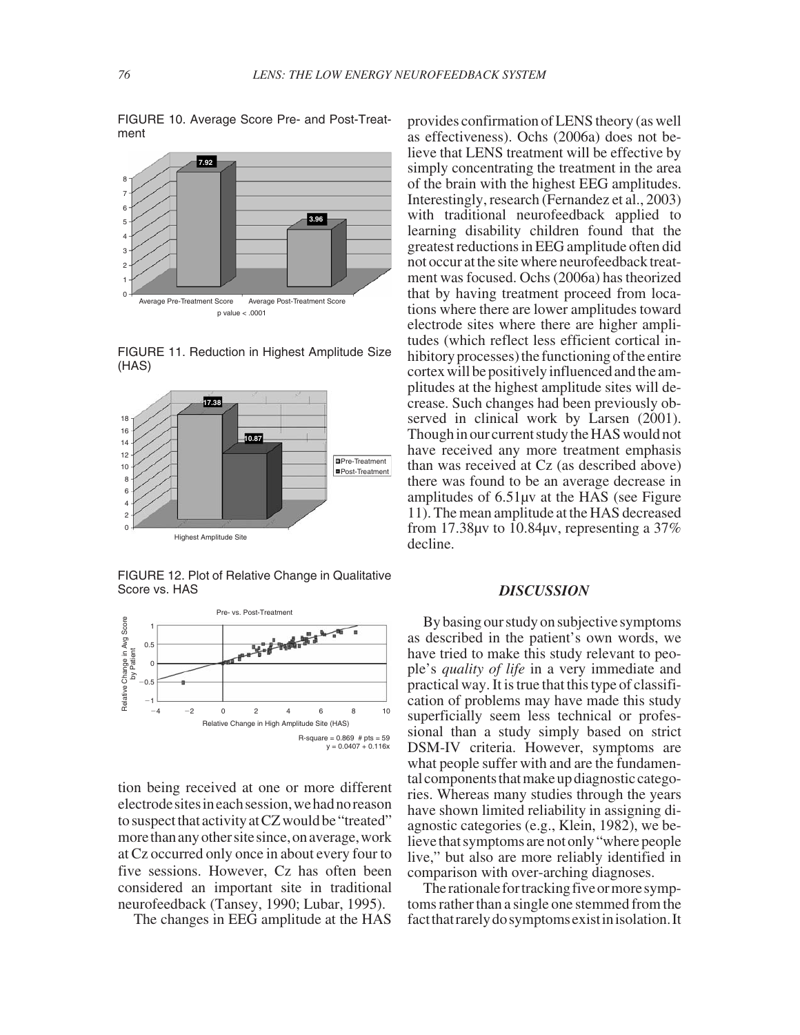FIGURE 10. Average Score Pre- and Post-Treatment



FIGURE 11. Reduction in Highest Amplitude Size (HAS)



FIGURE 12. Plot of Relative Change in Qualitative Score vs. HAS



tion being received at one or more different electrodesitesineachsession,wehadnoreason to suspect thatactivityatCZ would be "treated" more than any other site since, on average, work at Cz occurred only once in about every four to five sessions. However, Cz has often been considered an important site in traditional neurofeedback (Tansey, 1990; Lubar, 1995).

The changes in EEG amplitude at the HAS

provides confirmation of LENS theory (as well as effectiveness). Ochs (2006a) does not believe that LENS treatment will be effective by simply concentrating the treatment in the area of the brain with the highest EEG amplitudes. Interestingly, research (Fernandez et al., 2003) with traditional neurofeedback applied to learning disability children found that the greatest reductions in EEG amplitude often did not occur at the site where neurofeedback treatment was focused. Ochs (2006a) has theorized that by having treatment proceed from locations where there are lower amplitudes toward electrode sites where there are higher amplitudes (which reflect less efficient cortical inhibitory processes) the functioning of the entire cortex will be positivelyinfluencedand the amplitudes at the highest amplitude sites will decrease. Such changes had been previously observed in clinical work by Larsen (2001). Though in our current study the HAS would not have received any more treatment emphasis than was received at Cz (as described above) there was found to be an average decrease in amplitudes of 6.51μv at the HAS (see Figure 11). The mean amplitude at the HAS decreased from 17.38μv to 10.84μv, representing a  $37\%$ decline.

## *DISCUSSION*

By basing our study on subjective symptoms as described in the patient's own words, we have tried to make this study relevant to people's *quality of life* in a very immediate and practical way. It is true that this type of classification of problems may have made this study superficially seem less technical or professional than a study simply based on strict DSM-IV criteria. However, symptoms are what people suffer with and are the fundamental components that make up diagnostic categories. Whereas many studies through the years have shown limited reliability in assigning diagnostic categories (e.g., Klein, 1982), we believethatsymptoms are not only "where people live," but also are more reliably identified in comparison with over-arching diagnoses.

The rationale for tracking five or more symptoms rather than a single one stemmed from the fact that rarely do symptoms exist in isolation. It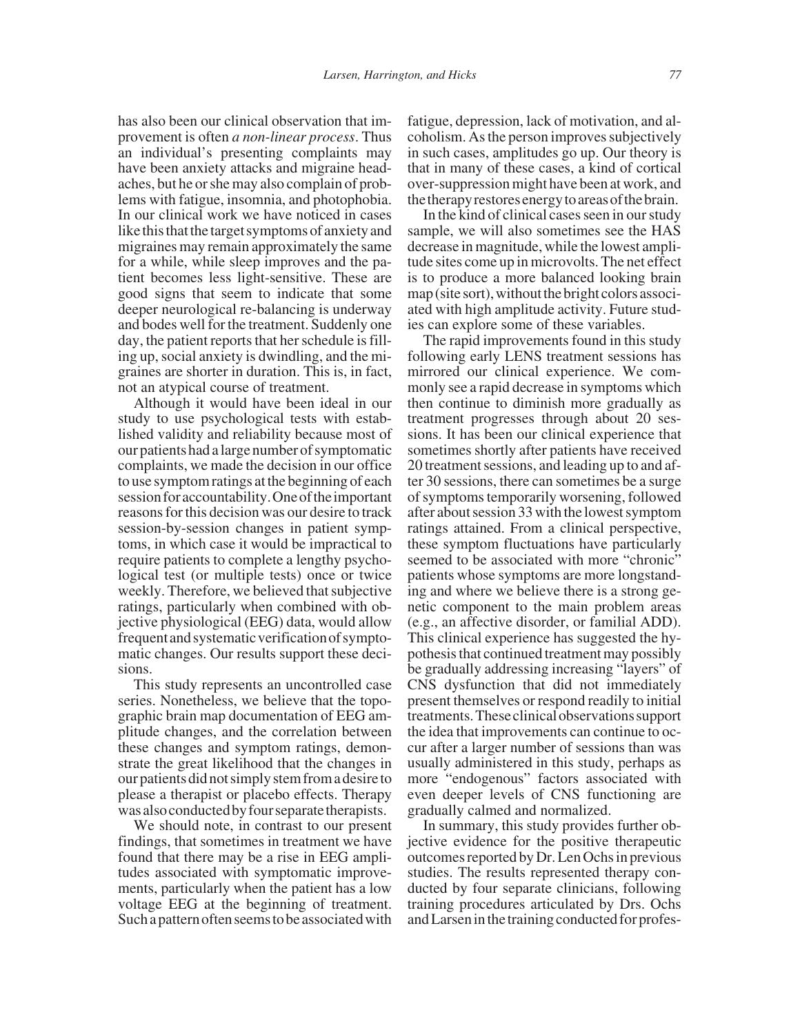has also been our clinical observation that improvement is often *a non-linear process*. Thus an individual's presenting complaints may have been anxiety attacks and migraine headaches, but he or she may also complain of problems with fatigue, insomnia, and photophobia. In our clinical work we have noticed in cases like this that the target symptoms of anxiety and migraines may remain approximately the same for a while, while sleep improves and the patient becomes less light-sensitive. These are good signs that seem to indicate that some deeper neurological re-balancing is underway and bodes well for the treatment. Suddenly one day, the patient reports that her schedule is filling up, social anxiety is dwindling, and the migraines are shorter in duration. This is, in fact, not an atypical course of treatment.

Although it would have been ideal in our study to use psychological tests with established validity and reliability because most of our patientshad a largenumber of symptomatic complaints, we made the decision in our office to use symptom ratings at the beginning of each session for accountability. One of the important reasons for this decision was our desire to track session-by-session changes in patient symptoms, in which case it would be impractical to require patients to complete a lengthy psychological test (or multiple tests) once or twice weekly. Therefore, we believed that subjective ratings, particularly when combined with objective physiological (EEG) data, would allow frequent and systematic verification of symptomatic changes. Our results support these decisions.

This study represents an uncontrolled case series. Nonetheless, we believe that the topographic brain map documentation of EEG amplitude changes, and the correlation between these changes and symptom ratings, demonstrate the great likelihood that the changes in our patients did not simply stem from a desire to please a therapist or placebo effects. Therapy was also conducted by four separate therapists.

We should note, in contrast to our present findings, that sometimes in treatment we have found that there may be a rise in EEG amplitudes associated with symptomatic improvements, particularly when the patient has a low voltage EEG at the beginning of treatment. Such a pattern often seems to be associated with

fatigue, depression, lack of motivation, and alcoholism. As the person improves subjectively in such cases, amplitudes go up. Our theory is that in many of these cases, a kind of cortical over-suppression might have been at work, and thetherapyrestoresenergytoareasofthebrain.

In the kind of clinical cases seen in our study sample, we will also sometimes see the HAS decrease in magnitude, while the lowest amplitude sites come up in microvolts. The net effect is to produce a more balanced looking brain map (site sort), without the bright colors associated with high amplitude activity. Future studies can explore some of these variables.

The rapid improvements found in this study following early LENS treatment sessions has mirrored our clinical experience. We commonly see a rapid decrease in symptoms which then continue to diminish more gradually as treatment progresses through about 20 sessions. It has been our clinical experience that sometimes shortly after patients have received 20 treatment sessions, and leading up to and after 30 sessions, there can sometimes be a surge of symptoms temporarily worsening, followed after about session 33 with the lowest symptom ratings attained. From a clinical perspective, these symptom fluctuations have particularly seemed to be associated with more "chronic" patients whose symptoms are more longstanding and where we believe there is a strong genetic component to the main problem areas (e.g., an affective disorder, or familial ADD). This clinical experience has suggested the hypothesis that continued treatment may possibly be gradually addressing increasing "layers" of CNS dysfunction that did not immediately present themselves or respond readily to initial treatments.Theseclinicalobservationssupport the idea that improvements can continue to occur after a larger number of sessions than was usually administered in this study, perhaps as more "endogenous" factors associated with even deeper levels of CNS functioning are gradually calmed and normalized.

In summary, this study provides further objective evidence for the positive therapeutic outcomes reported by Dr. Len Ochs in previous studies. The results represented therapy conducted by four separate clinicians, following training procedures articulated by Drs. Ochs and Larsen in the training conducted for profes-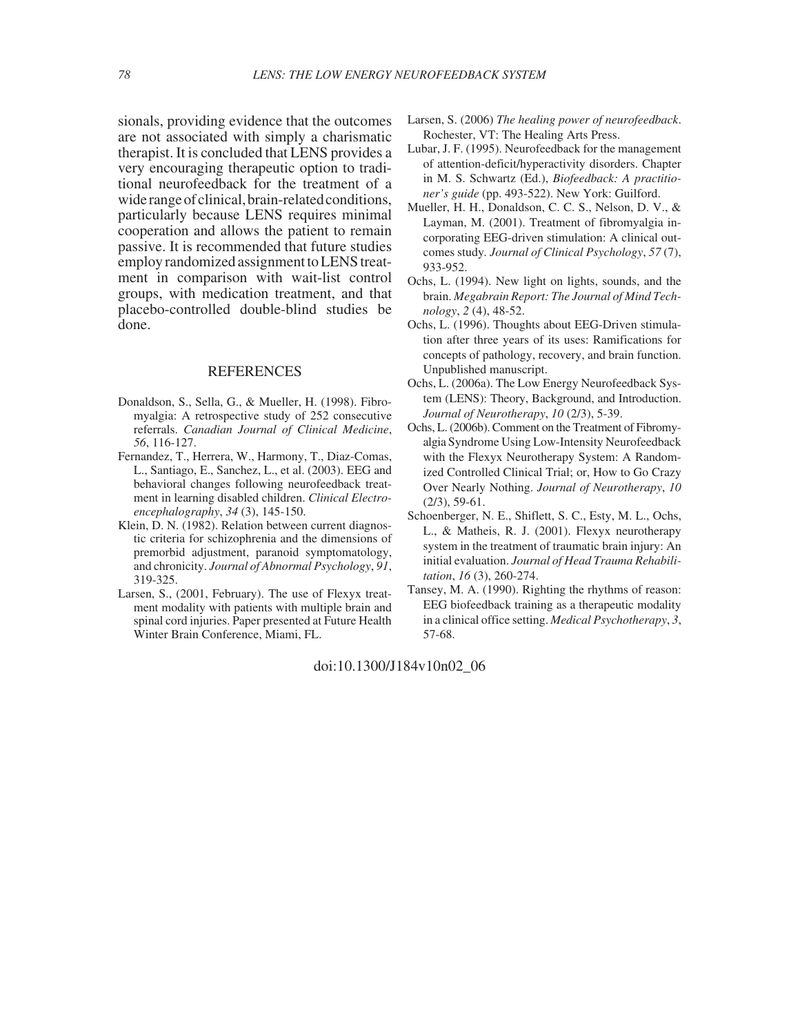sionals, providing evidence that the outcomes are not associated with simply a charismatic therapist. It is concluded that LENS provides a very encouraging therapeutic option to traditional neurofeedback for the treatment of a wide range of clinical, brain-related conditions, particularly because LENS requires minimal cooperation and allows the patient to remain passive. It is recommended that future studies employ randomized assignment to LENS treatment in comparison with wait-list control groups, with medication treatment, and that placebo-controlled double-blind studies be done.

#### REFERENCES

- Donaldson, S., Sella, G., & Mueller, H. (1998). Fibromyalgia: A retrospective study of 252 consecutive referrals. *Canadian Journal of Clinical Medicine*, *56*, 116-127.
- Fernandez, T., Herrera, W., Harmony, T., Diaz-Comas, L., Santiago, E., Sanchez, L., et al. (2003). EEG and behavioral changes following neurofeedback treatment in learning disabled children. *Clinical Electroencephalography*, *34* (3), 145-150.
- Klein, D. N. (1982). Relation between current diagnostic criteria for schizophrenia and the dimensions of premorbid adjustment, paranoid symptomatology, and chronicity. *Journal of Abnormal Psychology*, *91*, 319-325.
- Larsen, S., (2001, February). The use of Flexyx treatment modality with patients with multiple brain and spinal cord injuries. Paper presented at Future Health Winter Brain Conference, Miami, FL.
- Larsen, S. (2006) *The healing power of neurofeedback*. Rochester, VT: The Healing Arts Press.
- Lubar, J. F. (1995). Neurofeedback for the management of attention-deficit/hyperactivity disorders. Chapter in M. S. Schwartz (Ed.), *Biofeedback: A practitioner's guide* (pp. 493-522). New York: Guilford.
- Mueller, H. H., Donaldson, C. C. S., Nelson, D. V., & Layman, M. (2001). Treatment of fibromyalgia incorporating EEG-driven stimulation: A clinical outcomes study*. Journal of Clinical Psychology*, *57* (7), 933-952.
- Ochs, L. (1994). New light on lights, sounds, and the brain. *Megabrain Report: The Journal of Mind Technology*, *2* (4), 48-52.
- Ochs, L. (1996). Thoughts about EEG-Driven stimulation after three years of its uses: Ramifications for concepts of pathology, recovery, and brain function. Unpublished manuscript.
- Ochs, L. (2006a). The Low Energy Neurofeedback System (LENS): Theory, Background, and Introduction. *Journal of Neurotherapy*, *10* (2/3), 5-39.
- Ochs, L. (2006b). Comment on the Treatment of Fibromyalgia Syndrome Using Low-Intensity Neurofeedback with the Flexyx Neurotherapy System: A Randomized Controlled Clinical Trial; or, How to Go Crazy Over Nearly Nothing. *Journal of Neurotherapy*, *10* (2/3), 59-61.
- Schoenberger, N. E., Shiflett, S. C., Esty, M. L., Ochs, L., & Matheis, R. J. (2001). Flexyx neurotherapy system in the treatment of traumatic brain injury: An initial evaluation. *Journal of Head Trauma Rehabilitation*, *16* (3), 260-274.
- Tansey, M. A. (1990). Righting the rhythms of reason: EEG biofeedback training as a therapeutic modality in a clinical office setting. *Medical Psychotherapy*, *3*, 57-68.

### doi:10.1300/J184v10n02\_06